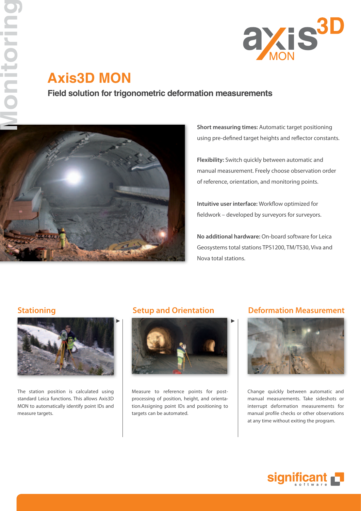

# **Axis3D MON**

**Field solution for trigonometric deformation measurements**



**Short measuring times:** Automatic target positioning using pre-defined target heights and reflector constants.

**Flexibility:** Switch quickly between automatic and manual measurement. Freely choose observation order of reference, orientation, and monitoring points.

**Intuitive user interface:** Workflow optimized for fieldwork – developed by surveyors for surveyors.

**No additional hardware:** On-board software for Leica Geosystems total stations TPS1200, TM/TS30, Viva and Nova total stations.



The station position is calculated using standard Leica functions. This allows Axis3D MON to automatically identify point IDs and measure targets.



Measure to reference points for postprocessing of position, height, and orientation.Assigning point IDs and positioning to targets can be automated.

## **Stationing Setup and Orientation Deformation Measurement**



Change quickly between automatic and manual measurements. Take sideshots or interrupt deformation measurements for manual profile checks or other observations at any time without exiting the program.